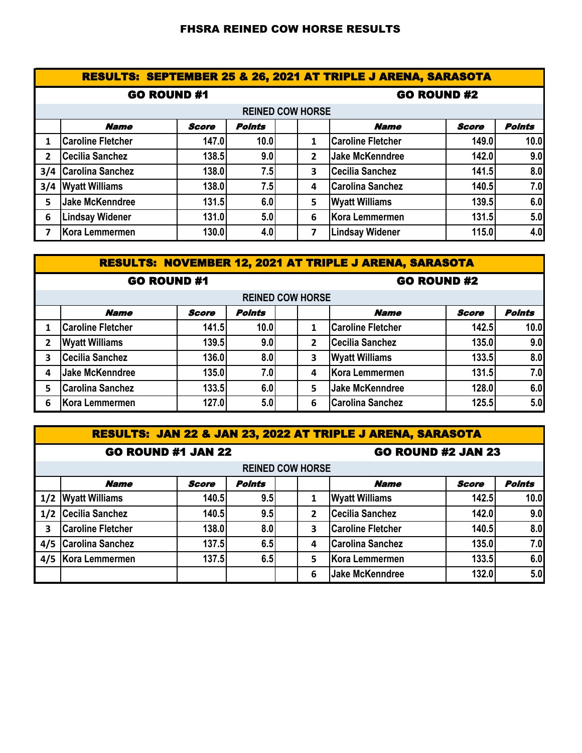## FHSRA REINED COW HORSE RESULTS

|                | <b>RESULTS: SEPTEMBER 25 &amp; 26, 2021 AT TRIPLE J ARENA, SARASOTA</b> |              |               |                    |                |                          |              |               |  |  |
|----------------|-------------------------------------------------------------------------|--------------|---------------|--------------------|----------------|--------------------------|--------------|---------------|--|--|
|                | <b>GO ROUND #1</b>                                                      |              |               | <b>GO ROUND #2</b> |                |                          |              |               |  |  |
|                | <b>REINED COW HORSE</b>                                                 |              |               |                    |                |                          |              |               |  |  |
|                | <b>Name</b>                                                             | <b>Score</b> | <b>Points</b> |                    |                | <b>Name</b>              | <b>Score</b> | <b>Points</b> |  |  |
| 1              | <b>Caroline Fletcher</b>                                                | 147.0        | 10.0          |                    | 1              | <b>Caroline Fletcher</b> | 149.0        | 10.0          |  |  |
| $\overline{2}$ | Cecilia Sanchez                                                         | 138.5        | 9.0           |                    | $\overline{2}$ | <b>Jake McKenndree</b>   | 142.0        | 9.0           |  |  |
|                | 3/4 Carolina Sanchez                                                    | 138.0        | 7.5           |                    | 3              | <b>Cecilia Sanchez</b>   | 141.5        | 8.0           |  |  |
|                | 3/4 Wyatt Williams                                                      | 138.0        | 7.5           |                    | 4              | <b>Carolina Sanchez</b>  | 140.5        | 7.0           |  |  |
| 5              | Jake McKenndree                                                         | 131.5        | 6.0           |                    | 5              | <b>Wyatt Williams</b>    | 139.5        | 6.0           |  |  |
| 6              | <b>Lindsay Widener</b>                                                  | <b>131.0</b> | 5.0           |                    | 6              | <b>Kora Lemmermen</b>    | 131.5        | 5.0           |  |  |
| $\overline{7}$ | Kora Lemmermen                                                          | 130.0        | 4.0           |                    | 7              | <b>Lindsay Widener</b>   | 115.0        | 4.0           |  |  |

| <b>RESULTS: NOVEMBER 12, 2021 AT TRIPLE J ARENA, SARASOTA</b> |                          |              |               |  |   |                          |              |                   |  |  |
|---------------------------------------------------------------|--------------------------|--------------|---------------|--|---|--------------------------|--------------|-------------------|--|--|
| <b>GO ROUND #1</b>                                            |                          |              |               |  |   | <b>GO ROUND #2</b>       |              |                   |  |  |
|                                                               | <b>REINED COW HORSE</b>  |              |               |  |   |                          |              |                   |  |  |
|                                                               | <b>Name</b>              | <b>Score</b> | <b>Points</b> |  |   | <b>Name</b>              | <b>Score</b> | <b>Points</b>     |  |  |
|                                                               | <b>Caroline Fletcher</b> | 141.5        | 10.0          |  | 1 | <b>Caroline Fletcher</b> | 142.5        | 10.0 <sub>l</sub> |  |  |
| 2                                                             | <b>Wyatt Williams</b>    | 139.5        | 9.0           |  | 2 | <b>Cecilia Sanchez</b>   | 135.0        | 9.0               |  |  |
| 3                                                             | <b>Cecilia Sanchez</b>   | 136.0        | 8.0           |  | 3 | <b>Wyatt Williams</b>    | 133.5        | 8.0               |  |  |
| 4                                                             | Jake McKenndree          | 135.0        | 7.0           |  | 4 | Kora Lemmermen           | 131.5        | 7.0               |  |  |
| 5.                                                            | <b>Carolina Sanchez</b>  | 133.5        | 6.0           |  | 5 | <b>Jake McKenndree</b>   | 128.0        | 6.0               |  |  |
| 6                                                             | Kora Lemmermen           | 127.0        | 5.0           |  | 6 | <b>Carolina Sanchez</b>  | 125.5        | 5.0               |  |  |

| <b>RESULTS: JAN 22 &amp; JAN 23, 2022 AT TRIPLE J ARENA, SARASOTA</b> |                          |              |               |  |                           |                          |              |               |  |  |
|-----------------------------------------------------------------------|--------------------------|--------------|---------------|--|---------------------------|--------------------------|--------------|---------------|--|--|
| <b>GO ROUND #1 JAN 22</b>                                             |                          |              |               |  | <b>GO ROUND #2 JAN 23</b> |                          |              |               |  |  |
|                                                                       | <b>REINED COW HORSE</b>  |              |               |  |                           |                          |              |               |  |  |
|                                                                       | <b>Name</b>              | <b>Score</b> | <b>Points</b> |  |                           | <b>Name</b>              | <b>Score</b> | <b>Points</b> |  |  |
| 1/2                                                                   | <b>Wyatt Williams</b>    | 140.5        | 9.5           |  | 1                         | <b>Wyatt Williams</b>    | 142.5        | 10.0          |  |  |
| 1/2                                                                   | <b>Cecilia Sanchez</b>   | 140.5        | 9.5           |  | $\overline{2}$            | <b>Cecilia Sanchez</b>   | 142.0        | 9.0           |  |  |
| 3                                                                     | <b>Caroline Fletcher</b> | 138.0        | 8.0           |  | 3                         | <b>Caroline Fletcher</b> | 140.5        | 8.0           |  |  |
| 4/5                                                                   | <b>Carolina Sanchez</b>  | 137.5        | 6.5           |  | 4                         | <b>Carolina Sanchez</b>  | 135.0        | 7.0           |  |  |
| 4/5                                                                   | Kora Lemmermen           | 137.5        | 6.5           |  | 5                         | Kora Lemmermen           | 133.5        | 6.0           |  |  |
|                                                                       |                          |              |               |  | 6                         | <b>Jake McKenndree</b>   | 132.0        | 5.0           |  |  |